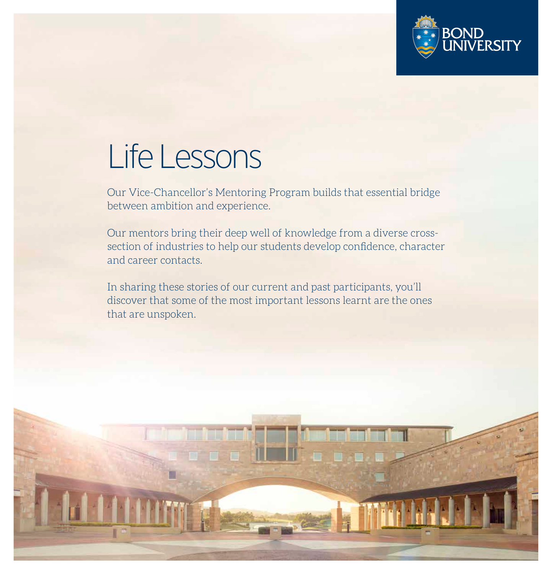

## Life Lessons

Our Vice-Chancellor's Mentoring Program builds that essential bridge between ambition and experience.

Our mentors bring their deep well of knowledge from a diverse crosssection of industries to help our students develop confidence, character and career contacts.

In sharing these stories of our current and past participants, you'll discover that some of the most important lessons learnt are the ones that are unspoken.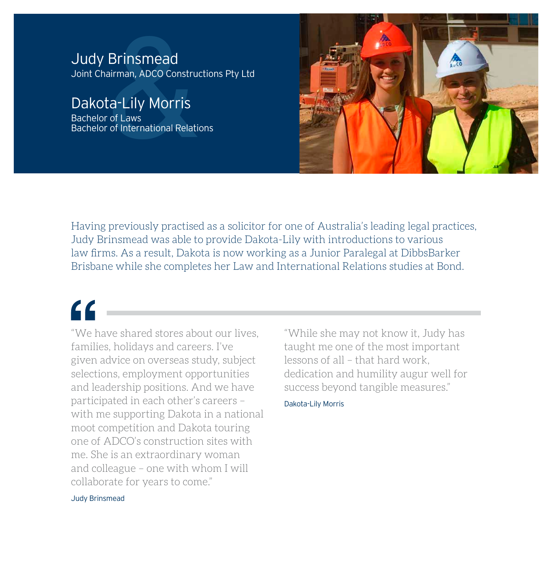**Brinsmead**<br>Aliman, ADCO Construder<br>Catally Morris<br>Cof Laws<br>The Construct of International Relation Judy Brinsmead Joint Chairman, ADCO Constructions Pty Ltd

Dakota-Lily Morris

Bachelor of Laws Bachelor of International Relations



Having previously practised as a solicitor for one of Australia's leading legal practices, Judy Brinsmead was able to provide Dakota-Lily with introductions to various law firms. As a result, Dakota is now working as a Junior Paralegal at DibbsBarker Brisbane while she completes her Law and International Relations studies at Bond.

 $\epsilon$ 

"We have shared stores about our lives, families, holidays and careers. I've given advice on overseas study, subject selections, employment opportunities and leadership positions. And we have participated in each other's careers – with me supporting Dakota in a national moot competition and Dakota touring one of ADCO's construction sites with me. She is an extraordinary woman and colleague – one with whom I will collaborate for years to come."

"While she may not know it, Judy has taught me one of the most important lessons of all – that hard work, dedication and humility augur well for success beyond tangible measures."

### Dakota-Lily Morris

Judy Brinsmead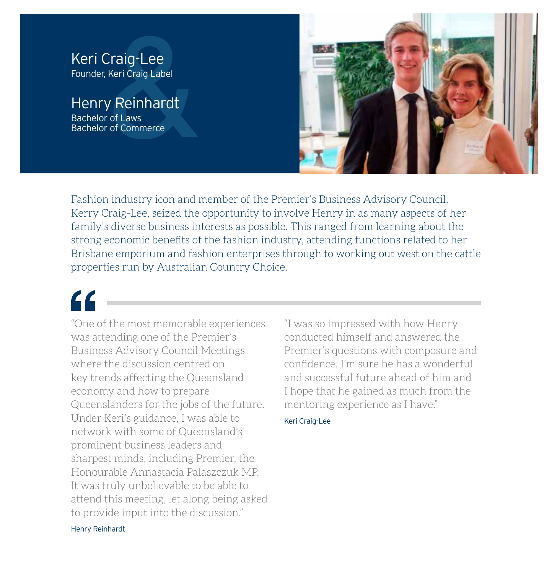### Keri Craig-Lee Founder, Keri Craig Label

Caig-Lee<br>
Keri Craig Label<br>
Contraig Label<br>
Contrained to Commerce<br>
Commerce Henry Reinhardt Bachelor of Laws Bachelor of Commerce



Fashion industry icon and member of the Premier's Business Advisory Council, Kerry Craig-Lee, seized the opportunity to involve Henry in as many aspects of her family's diverse business interests as possible. This ranged from learning about the strong economic benefits of the fashion industry, attending functions related to her Brisbane emporium and fashion enterprises through to working out west on the cattle properties run by Australian Country Choice.

## $\epsilon$

"One of the most memorable experiences was attending one of the Premier's Business Advisory Council Meetings where the discussion centred on key trends affecting the Queensland economy and how to prepare Queenslanders for the jobs of the future. Under Keri's guidance, I was able to network with some of Queensland's prominent business leaders and sharpest minds, including Premier, the Honourable Annastacia Palaszczuk MP. It was truly unbelievable to be able to attend this meeting, let along being asked to provide input into the discussion."

"I was so impressed with how Henry conducted himself and answered the Premier's questions with composure and confidence. I'm sure he has a wonderful and successful future ahead of him and I hope that he gained as much from the mentoring experience as I have."

### Keri Craig-Lee

Henry Reinhardt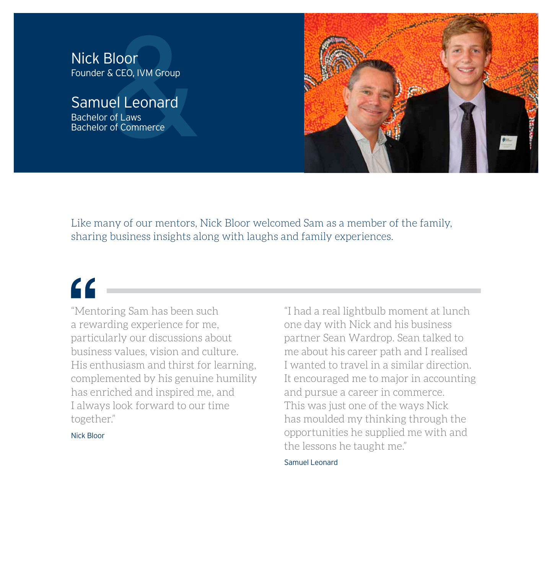# **Bloor**<br>
& CEO, IVM Group<br> **Iel Leonard**<br>
Cof Laws<br>
Cof Commerce Nick Bloor Founder & CEO, IVM Group

### Samuel Leonard Bachelor of Laws

Bachelor of Commerce



Like many of our mentors, Nick Bloor welcomed Sam as a member of the family, sharing business insights along with laughs and family experiences.

## $\epsilon$

"Mentoring Sam has been such a rewarding experience for me, particularly our discussions about business values, vision and culture. His enthusiasm and thirst for learning, complemented by his genuine humility has enriched and inspired me, and I always look forward to our time together."

Nick Bloor

"I had a real lightbulb moment at lunch one day with Nick and his business partner Sean Wardrop. Sean talked to me about his career path and I realised I wanted to travel in a similar direction. It encouraged me to major in accounting and pursue a career in commerce. This was just one of the ways Nick has moulded my thinking through the opportunities he supplied me with and the lessons he taught me."

Samuel Leonard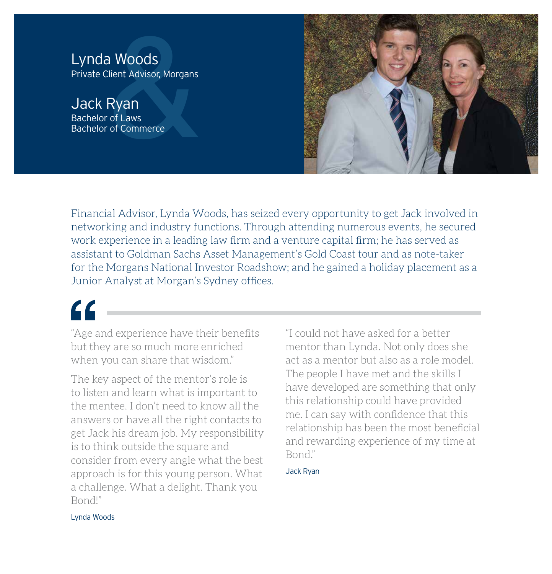**Example 3**<br> **Example 3**<br> **Example 3**<br> **Example 3**<br> **Example 3**<br> **Example 3**<br> **Example 3**<br> **Example 3**<br> **Example 3**<br> **Example 3**<br> **Example 3**<br> **Example 3**<br> **Example 3**<br> **Example 3**<br> **Example 3** Lynda Woods Private Client Advisor, Morgans

Jack Ryan Bachelor of Laws Bachelor of Commerce



Financial Advisor, Lynda Woods, has seized every opportunity to get Jack involved in networking and industry functions. Through attending numerous events, he secured work experience in a leading law firm and a venture capital firm; he has served as assistant to Goldman Sachs Asset Management's Gold Coast tour and as note-taker for the Morgans National Investor Roadshow; and he gained a holiday placement as a Junior Analyst at Morgan's Sydney offices.

"Age and experience have their benefits but they are so much more enriched when you can share that wisdom."

The key aspect of the mentor's role is to listen and learn what is important to the mentee. I don't need to know all the answers or have all the right contacts to get Jack his dream job. My responsibility is to think outside the square and consider from every angle what the best approach is for this young person. What a challenge. What a delight. Thank you Bond!"

"I could not have asked for a better mentor than Lynda. Not only does she act as a mentor but also as a role model. The people I have met and the skills I have developed are something that only this relationship could have provided me. I can say with confidence that this relationship has been the most beneficial and rewarding experience of my time at Bond."

Jack Ryan

Lynda Woods